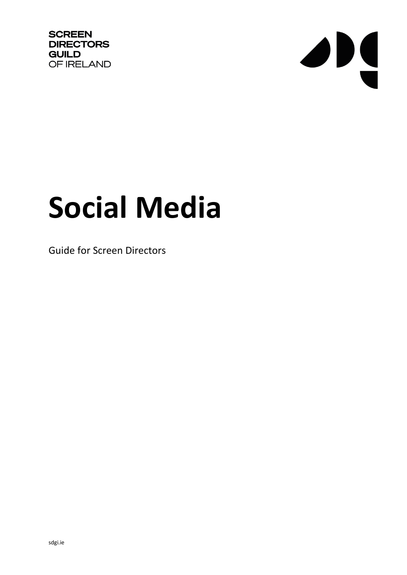**SCREEN DIRECTORS GUILD** OF IRELAND



# **Social Media**

Guide for Screen Directors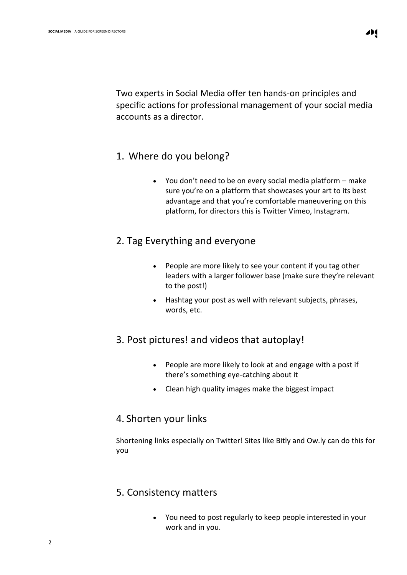Two experts in Social Media offer ten hands-on principles and specific actions for professional management of your social media accounts as a director.

#### 1. Where do you belong?

• You don't need to be on every social media platform – make sure you're on a platform that showcases your art to its best advantage and that you're comfortable maneuvering on this platform, for directors this is Twitter Vimeo, Instagram.

### 2. Tag Everything and everyone

- People are more likely to see your content if you tag other leaders with a larger follower base (make sure they're relevant to the post!)
- Hashtag your post as well with relevant subjects, phrases, words, etc.

## 3. Post pictures! and videos that autoplay!

- People are more likely to look at and engage with a post if there's something eye-catching about it
- Clean high quality images make the biggest impact

## 4. Shorten your links

Shortening links especially on Twitter! Sites like Bitly and Ow.ly can do this for you

## 5. Consistency matters

• You need to post regularly to keep people interested in your work and in you.